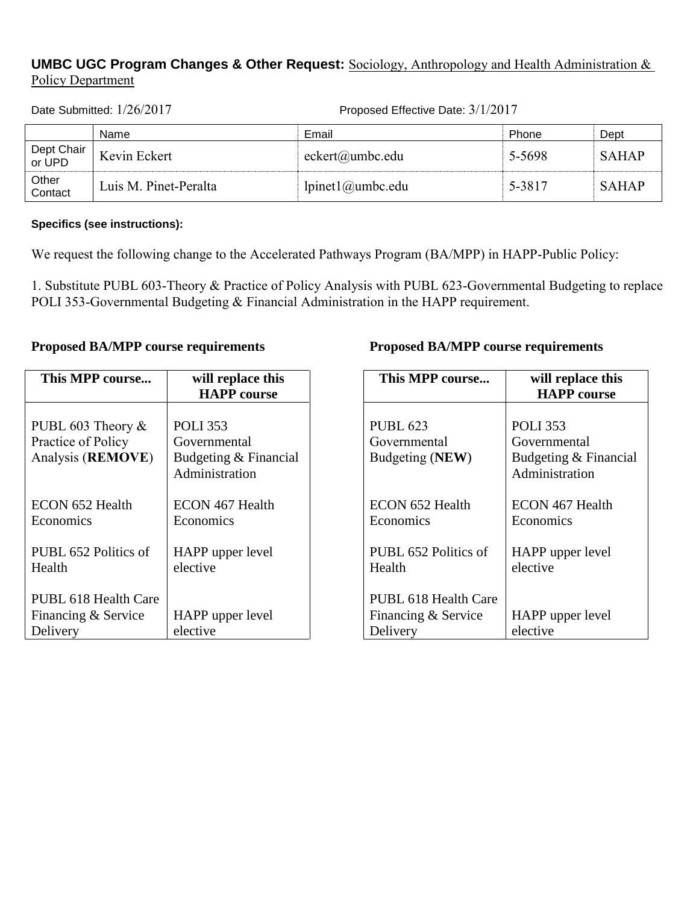## **UMBC UGC Program Changes & Other Request:** Sociology, Anthropology and Health Administration & Policy Department

Date Submitted: 1/26/2017 Proposed Effective Date: 3/1/2017

|                      | Name                  | Email                   | Phone  | Dept         |
|----------------------|-----------------------|-------------------------|--------|--------------|
| Dept Chair<br>or UPD | Kevin Eckert          | eckert@umbc.edu         | 5-5698 | <b>SAHAP</b> |
| Other<br>Contact     | Luis M. Pinet-Peralta | $l$ pinet $l$ @umbc.edu | 5-3817 | <b>SAHAP</b> |

**Specifics (see instructions):**

We request the following change to the Accelerated Pathways Program (BA/MPP) in HAPP-Public Policy:

1. Substitute PUBL 603-Theory & Practice of Policy Analysis with PUBL 623-Governmental Budgeting to replace POLI 353-Governmental Budgeting & Financial Administration in the HAPP requirement.

## **Proposed BA/MPP course requirements**

| This MPP course                                                 | will replace this<br><b>HAPP</b> course                                    |
|-----------------------------------------------------------------|----------------------------------------------------------------------------|
|                                                                 |                                                                            |
| PUBL 603 Theory $\&$<br>Practice of Policy<br>Analysis (REMOVE) | <b>POLI 353</b><br>Governmental<br>Budgeting & Financial<br>Administration |
| ECON 652 Health<br>Economics                                    | ECON 467 Health<br>Economics                                               |
| PUBL 652 Politics of<br>Health                                  | HAPP upper level<br>elective                                               |
| PUBL 618 Health Care<br>Financing & Service<br>Delivery         | HAPP upper level<br>elective                                               |

### **Proposed BA/MPP course requirements**

| This MPP course                                         | will replace this<br><b>HAPP</b> course                                    |
|---------------------------------------------------------|----------------------------------------------------------------------------|
| <b>PUBL 623</b><br>Governmental<br>Budgeting (NEW)      | <b>POLI</b> 353<br>Governmental<br>Budgeting & Financial<br>Administration |
| ECON 652 Health<br>Economics                            | ECON 467 Health<br>Economics                                               |
| PUBL 652 Politics of<br>Health                          | HAPP upper level<br>elective                                               |
| PUBL 618 Health Care<br>Financing & Service<br>Delivery | HAPP upper level<br>elective                                               |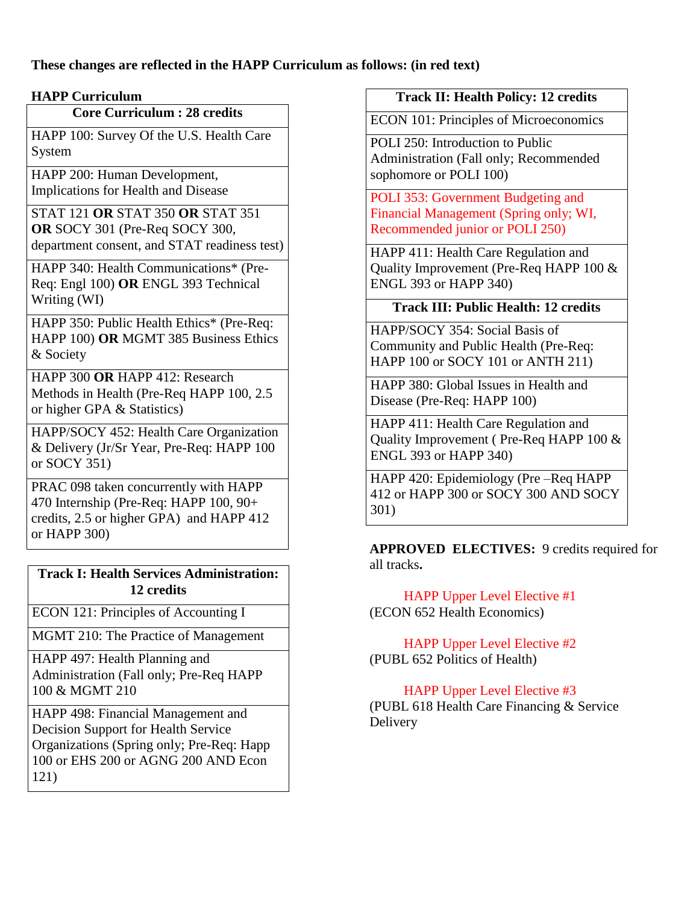**These changes are reflected in the HAPP Curriculum as follows: (in red text)**

## **HAPP Curriculum**

## **Core Curriculum : 28 credits**

HAPP 100: Survey Of the U.S. Health Care System

HAPP 200: Human Development, Implications for Health and Disease

STAT 121 **OR** STAT 350 **OR** STAT 351 **OR** SOCY 301 (Pre-Req SOCY 300, department consent, and STAT readiness test)

HAPP 340: Health Communications\* (Pre-Req: Engl 100) **OR** ENGL 393 Technical Writing (WI)

HAPP 350: Public Health Ethics\* (Pre-Req: HAPP 100) **OR** MGMT 385 Business Ethics & Society

HAPP 300 **OR** HAPP 412: Research Methods in Health (Pre-Req HAPP 100, 2.5 or higher GPA & Statistics)

HAPP/SOCY 452: Health Care Organization & Delivery (Jr/Sr Year, Pre-Req: HAPP 100 or SOCY 351)

PRAC 098 taken concurrently with HAPP 470 Internship (Pre-Req: HAPP 100, 90+ credits, 2.5 or higher GPA) and HAPP 412 or HAPP 300)

### **Track I: Health Services Administration: 12 credits**

ECON 121: Principles of Accounting I

MGMT 210: The Practice of Management

HAPP 497: Health Planning and Administration (Fall only; Pre-Req HAPP 100 & MGMT 210

HAPP 498: Financial Management and Decision Support for Health Service Organizations (Spring only; Pre-Req: Happ 100 or EHS 200 or AGNG 200 AND Econ 121)

## **Track II: Health Policy: 12 credits**

ECON 101: Principles of Microeconomics

POLI 250: Introduction to Public Administration (Fall only; Recommended sophomore or POLI 100)

POLI 353: Government Budgeting and Financial Management (Spring only; WI, Recommended junior or POLI 250)

HAPP 411: Health Care Regulation and Quality Improvement (Pre-Req HAPP 100 & ENGL 393 or HAPP 340)

# **Track III: Public Health: 12 credits**

HAPP/SOCY 354: Social Basis of Community and Public Health (Pre-Req: HAPP 100 or SOCY 101 or ANTH 211)

HAPP 380: Global Issues in Health and Disease (Pre-Req: HAPP 100)

HAPP 411: Health Care Regulation and Quality Improvement ( Pre-Req HAPP 100 & ENGL 393 or HAPP 340)

HAPP 420: Epidemiology (Pre –Req HAPP 412 or HAPP 300 or SOCY 300 AND SOCY 301)

**APPROVED ELECTIVES:** 9 credits required for all tracks**.**

 HAPP Upper Level Elective #1 (ECON 652 Health Economics)

 HAPP Upper Level Elective #2 (PUBL 652 Politics of Health)

 HAPP Upper Level Elective #3 (PUBL 618 Health Care Financing & Service Delivery